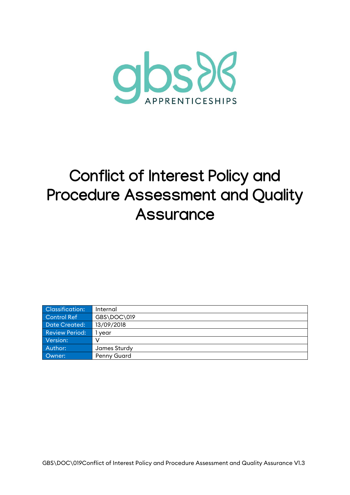

# **Conflict of Interest Policy and Procedure Assessment and Quality Assurance**

| Classification:       | Internal           |
|-----------------------|--------------------|
| Control Ref           | GBS\DOC\019        |
| <b>Date Created:</b>  | 13/09/2018         |
| <b>Review Period:</b> | vear               |
| Version:              |                    |
| Author:               | James Sturdy       |
| Owner:                | <b>Penny Guard</b> |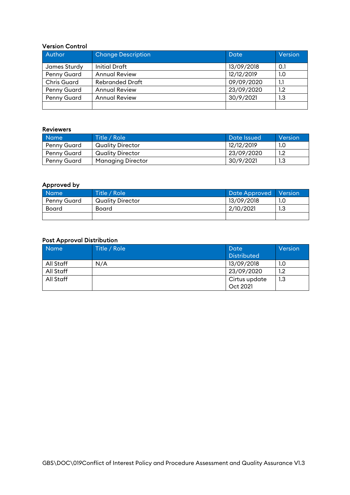#### Version Control

| Author             | <b>Change Description</b> | Date       | Version |
|--------------------|---------------------------|------------|---------|
| James Sturdy       | <b>Initial Draft</b>      | 13/09/2018 | 0.1     |
| Penny Guard        | <b>Annual Review</b>      | 12/12/2019 | 1.0     |
| <b>Chris Guard</b> | <b>Rebranded Draft</b>    | 09/09/2020 | 1.1     |
| Penny Guard        | <b>Annual Review</b>      | 23/09/2020 | 1.2     |
| Penny Guard        | <b>Annual Review</b>      | 30/9/2021  | 1.3     |
|                    |                           |            |         |

#### Reviewers

| <b>Name</b> | Title / Role             | Date Issued | Version |
|-------------|--------------------------|-------------|---------|
| Penny Guard | Quality Director         | 12/12/2019  | 1.0     |
| Penny Guard | Quality Director         | 23/09/2020  | $1.2\,$ |
| Penny Guard | <b>Managing Director</b> | 30/9/2021   | 1.3     |

#### Approved by

| Name <sup>1</sup> | Title / Role<br><b>Date Approved</b> |            | <b>Nersion</b> |
|-------------------|--------------------------------------|------------|----------------|
| Penny Guard       | <b>Quality Director</b>              | 13/09/2018 |                |
| Board             | Board                                | 2/10/2021  | 1 ລ<br>ں ، ا   |
|                   |                                      |            |                |

#### Post Approval Distribution

| <b>Name</b> | Title / Role  | Date               | Version |
|-------------|---------------|--------------------|---------|
|             |               | <b>Distributed</b> |         |
| All Staff   | N/A           | 13/09/2018         | 1.0     |
| All Staff   |               | 23/09/2020<br>1.2  |         |
| All Staff   | Cirtus update |                    | 1.3     |
|             |               | Oct 2021           |         |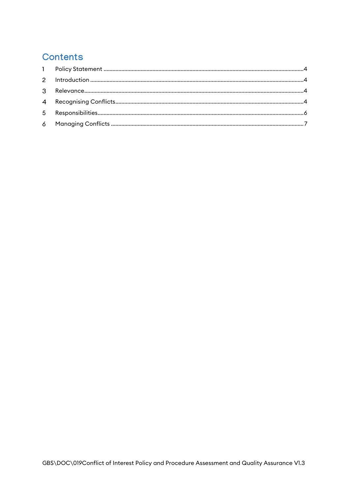# Contents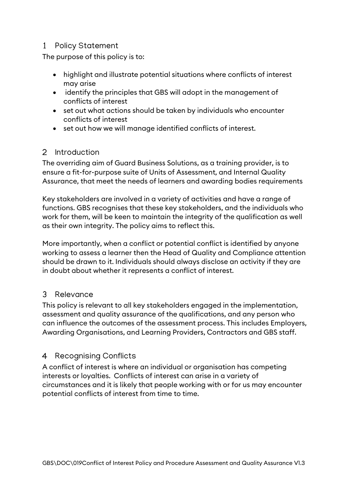# <span id="page-3-0"></span>1 Policy Statement

The purpose of this policy is to:

- highlight and illustrate potential situations where conflicts of interest may arise
- identify the principles that GBS will adopt in the management of conflicts of interest
- set out what actions should be taken by individuals who encounter conflicts of interest
- set out how we will manage identified conflicts of interest.

#### <span id="page-3-1"></span> $\mathcal{P}$ Introduction

The overriding aim of Guard Business Solutions, as a training provider, is to ensure a fit-for-purpose suite of Units of Assessment, and Internal Quality Assurance, that meet the needs of learners and awarding bodies requirements

Key stakeholders are involved in a variety of activities and have a range of functions. GBS recognises that these key stakeholders, and the individuals who work for them, will be keen to maintain the integrity of the qualification as well as their own integrity. The policy aims to reflect this.

More importantly, when a conflict or potential conflict is identified by anyone working to assess a learner then the Head of Quality and Compliance attention should be drawn to it. Individuals should always disclose an activity if they are in doubt about whether it represents a conflict of interest.

#### <span id="page-3-2"></span> $\mathcal{E}$ Relevance

This policy is relevant to all key stakeholders engaged in the implementation, assessment and quality assurance of the qualifications, and any person who can influence the outcomes of the assessment process. This includes Employers, Awarding Organisations, and Learning Providers, Contractors and GBS staff.

# <span id="page-3-3"></span>4 Recognising Conflicts

A conflict of interest is where an individual or organisation has competing interests or loyalties. Conflicts of interest can arise in a variety of circumstances and it is likely that people working with or for us may encounter potential conflicts of interest from time to time.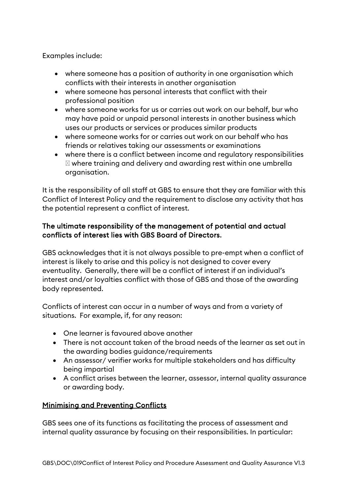Examples include:

- where someone has a position of authority in one organisation which conflicts with their interests in another organisation
- where someone has personal interests that conflict with their professional position
- where someone works for us or carries out work on our behalf, bur who may have paid or unpaid personal interests in another business which uses our products or services or produces similar products
- where someone works for or carries out work on our behalf who has friends or relatives taking our assessments or examinations
- where there is a conflict between income and regulatory responsibilities where training and delivery and awarding rest within one umbrella organisation.

It is the responsibility of all staff at GBS to ensure that they are familiar with this Conflict of Interest Policy and the requirement to disclose any activity that has the potential represent a conflict of interest.

#### The ultimate responsibility of the management of potential and actual conflicts of interest lies with GBS Board of Directors.

GBS acknowledges that it is not always possible to pre-empt when a conflict of interest is likely to arise and this policy is not designed to cover every eventuality. Generally, there will be a conflict of interest if an individual's interest and/or loyalties conflict with those of GBS and those of the awarding body represented.

Conflicts of interest can occur in a number of ways and from a variety of situations. For example, if, for any reason:

- One learner is favoured above another
- There is not account taken of the broad needs of the learner as set out in the awarding bodies guidance/requirements
- An assessor/ verifier works for multiple stakeholders and has difficulty being impartial
- A conflict arises between the learner, assessor, internal quality assurance or awarding body.

# Minimising and Preventing Conflicts

GBS sees one of its functions as facilitating the process of assessment and internal quality assurance by focusing on their responsibilities. In particular: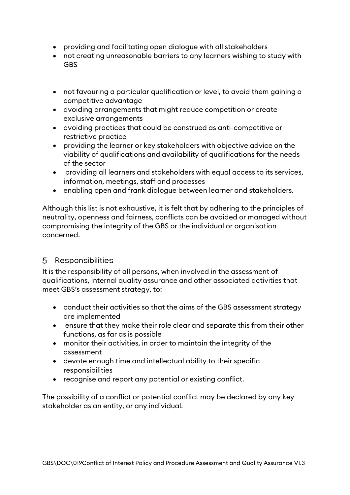- providing and facilitating open dialogue with all stakeholders
- not creating unreasonable barriers to any learners wishing to study with **GBS**
- not favouring a particular qualification or level, to avoid them gaining a competitive advantage
- avoiding arrangements that might reduce competition or create exclusive arrangements
- avoiding practices that could be construed as anti-competitive or restrictive practice
- providing the learner or key stakeholders with objective advice on the viability of qualifications and availability of qualifications for the needs of the sector
- providing all learners and stakeholders with equal access to its services, information, meetings, staff and processes
- enabling open and frank dialogue between learner and stakeholders.

Although this list is not exhaustive, it is felt that by adhering to the principles of neutrality, openness and fairness, conflicts can be avoided or managed without compromising the integrity of the GBS or the individual or organisation concerned.

# <span id="page-5-0"></span>5 Responsibilities

It is the responsibility of all persons, when involved in the assessment of qualifications, internal quality assurance and other associated activities that meet GBS's assessment strategy, to:

- conduct their activities so that the aims of the GBS assessment strategy are implemented
- ensure that they make their role clear and separate this from their other functions, as far as is possible
- monitor their activities, in order to maintain the integrity of the assessment
- devote enough time and intellectual ability to their specific responsibilities
- recognise and report any potential or existing conflict.

The possibility of a conflict or potential conflict may be declared by any key stakeholder as an entity, or any individual.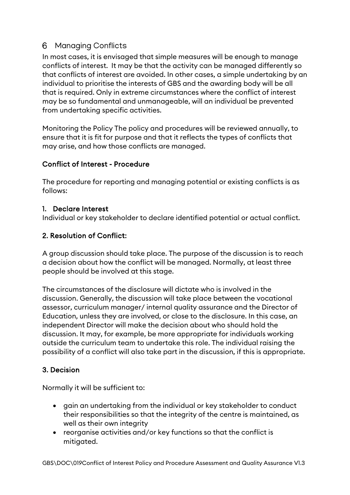# <span id="page-6-0"></span>Managing Conflicts

In most cases, it is envisaged that simple measures will be enough to manage conflicts of interest. It may be that the activity can be managed differently so that conflicts of interest are avoided. In other cases, a simple undertaking by an individual to prioritise the interests of GBS and the awarding body will be all that is required. Only in extreme circumstances where the conflict of interest may be so fundamental and unmanageable, will an individual be prevented from undertaking specific activities.

Monitoring the Policy The policy and procedures will be reviewed annually, to ensure that it is fit for purpose and that it reflects the types of conflicts that may arise, and how those conflicts are managed.

#### Conflict of Interest - Procedure

The procedure for reporting and managing potential or existing conflicts is as follows:

#### 1. Declare Interest

Individual or key stakeholder to declare identified potential or actual conflict.

#### 2. Resolution of Conflict:

A group discussion should take place. The purpose of the discussion is to reach a decision about how the conflict will be managed. Normally, at least three people should be involved at this stage.

The circumstances of the disclosure will dictate who is involved in the discussion. Generally, the discussion will take place between the vocational assessor, curriculum manager/ internal quality assurance and the Director of Education, unless they are involved, or close to the disclosure. In this case, an independent Director will make the decision about who should hold the discussion. It may, for example, be more appropriate for individuals working outside the curriculum team to undertake this role. The individual raising the possibility of a conflict will also take part in the discussion, if this is appropriate.

#### 3. Decision

Normally it will be sufficient to:

- gain an undertaking from the individual or key stakeholder to conduct their responsibilities so that the integrity of the centre is maintained, as well as their own integrity
- reorganise activities and/or key functions so that the conflict is mitigated.